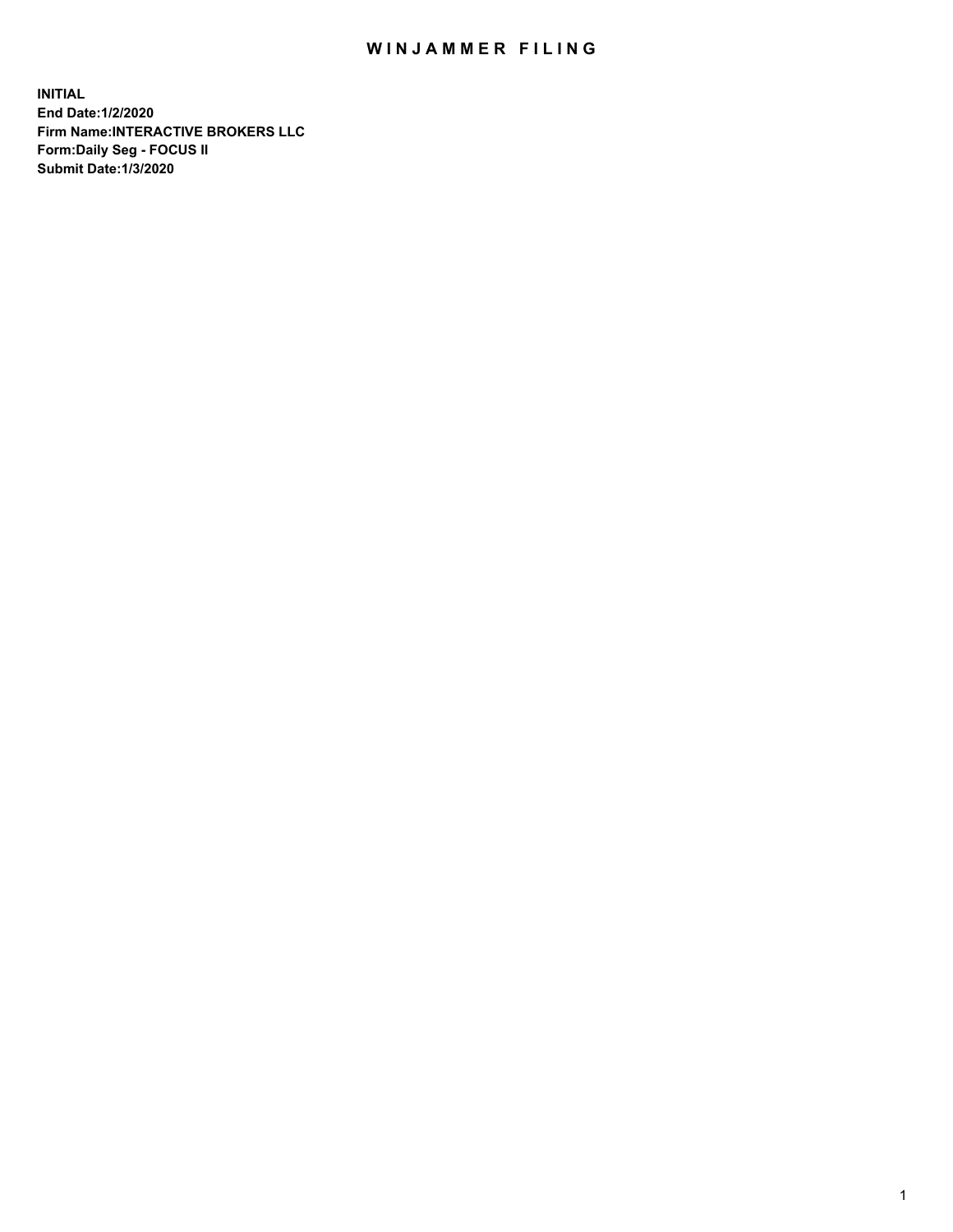## WIN JAMMER FILING

**INITIAL End Date:1/2/2020 Firm Name:INTERACTIVE BROKERS LLC Form:Daily Seg - FOCUS II Submit Date:1/3/2020**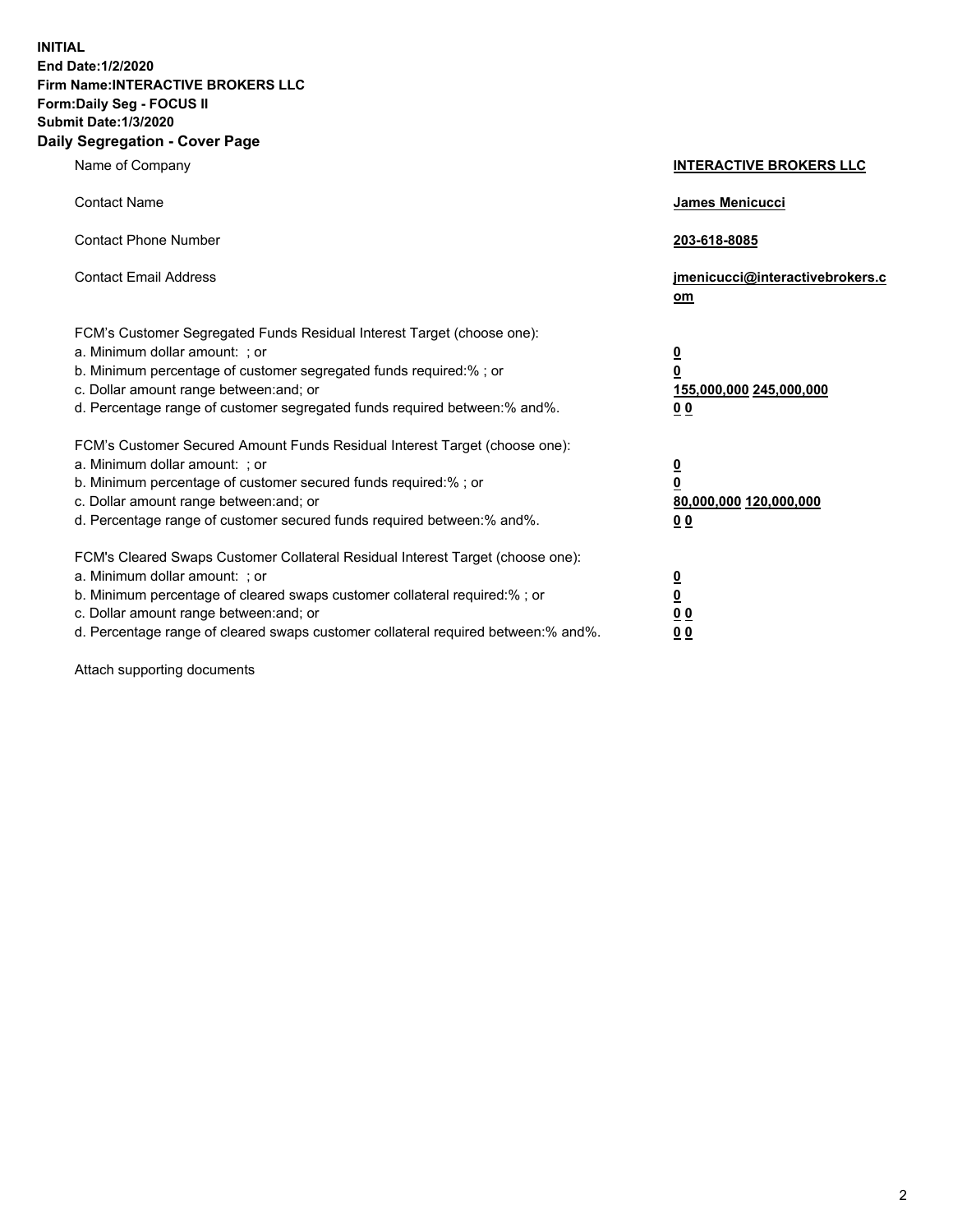**INITIAL End Date:1/2/2020 Firm Name:INTERACTIVE BROKERS LLC Form:Daily Seg - FOCUS II Submit Date:1/3/2020 Daily Segregation - Cover Page**

| Name of Company                                                                                                                                                                                                                                                                                                                | <b>INTERACTIVE BROKERS LLC</b>                                                                 |
|--------------------------------------------------------------------------------------------------------------------------------------------------------------------------------------------------------------------------------------------------------------------------------------------------------------------------------|------------------------------------------------------------------------------------------------|
| <b>Contact Name</b>                                                                                                                                                                                                                                                                                                            | James Menicucci                                                                                |
| <b>Contact Phone Number</b>                                                                                                                                                                                                                                                                                                    | 203-618-8085                                                                                   |
| <b>Contact Email Address</b>                                                                                                                                                                                                                                                                                                   | jmenicucci@interactivebrokers.c<br>om                                                          |
| FCM's Customer Segregated Funds Residual Interest Target (choose one):<br>a. Minimum dollar amount: ; or<br>b. Minimum percentage of customer segregated funds required:% ; or<br>c. Dollar amount range between: and; or<br>d. Percentage range of customer segregated funds required between:% and%.                         | <u>0</u><br>$\overline{\mathbf{0}}$<br>155,000,000 245,000,000<br>00                           |
| FCM's Customer Secured Amount Funds Residual Interest Target (choose one):<br>a. Minimum dollar amount: ; or<br>b. Minimum percentage of customer secured funds required:%; or<br>c. Dollar amount range between: and; or<br>d. Percentage range of customer secured funds required between:% and%.                            | $\overline{\mathbf{0}}$<br>$\overline{\mathbf{0}}$<br>80,000,000 120,000,000<br>0 <sub>0</sub> |
| FCM's Cleared Swaps Customer Collateral Residual Interest Target (choose one):<br>a. Minimum dollar amount: ; or<br>b. Minimum percentage of cleared swaps customer collateral required:% ; or<br>c. Dollar amount range between: and; or<br>d. Percentage range of cleared swaps customer collateral required between:% and%. | <u>0</u><br>$\underline{\mathbf{0}}$<br>0 <sub>0</sub><br>00                                   |

Attach supporting documents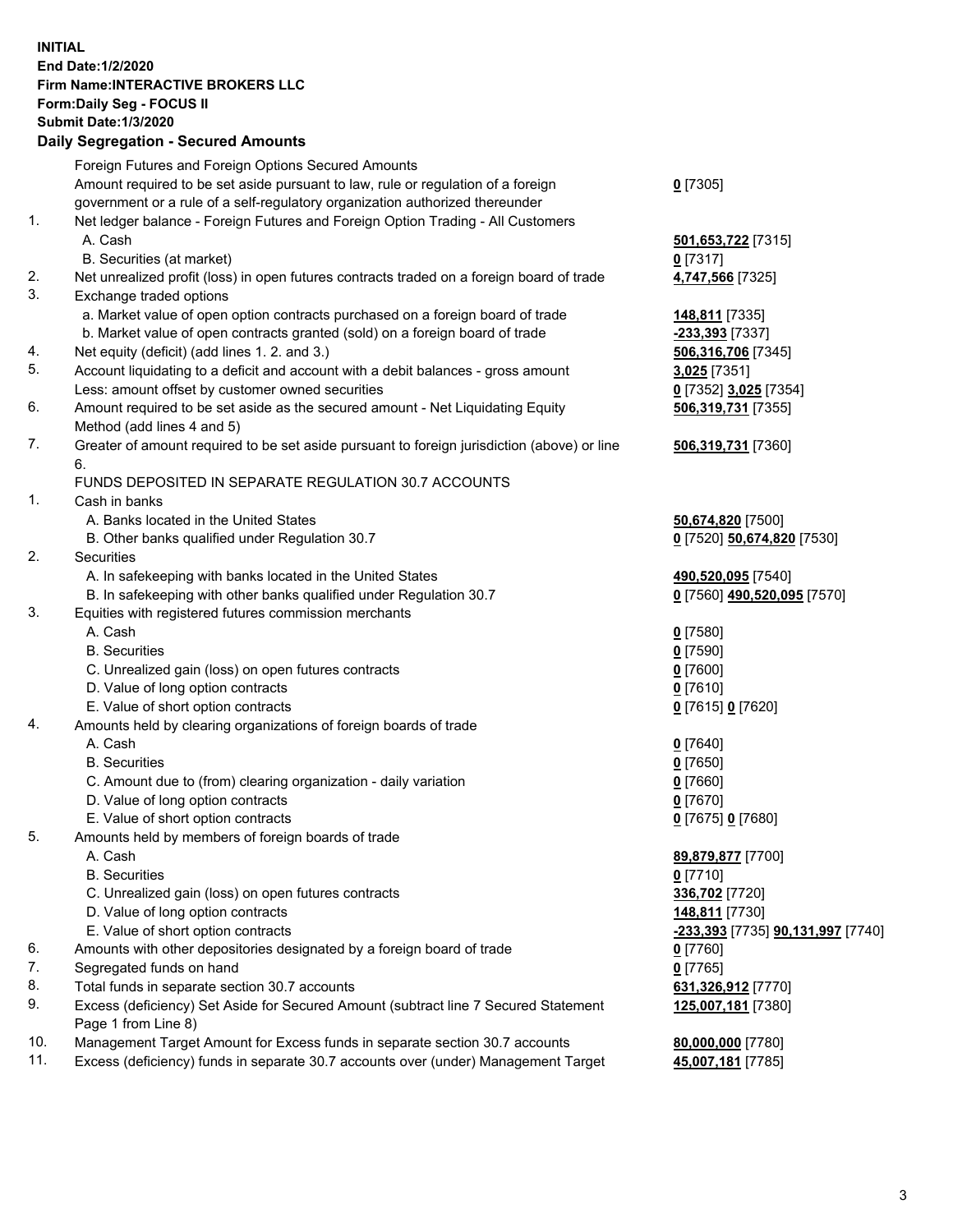**INITIAL End Date:1/2/2020 Firm Name:INTERACTIVE BROKERS LLC Form:Daily Seg - FOCUS II Submit Date:1/3/2020 Daily Segregation - Secured Amounts**

|     | Foreign Futures and Foreign Options Secured Amounts                                         |                                                 |
|-----|---------------------------------------------------------------------------------------------|-------------------------------------------------|
|     | Amount required to be set aside pursuant to law, rule or regulation of a foreign            | $0$ [7305]                                      |
|     | government or a rule of a self-regulatory organization authorized thereunder                |                                                 |
| 1.  | Net ledger balance - Foreign Futures and Foreign Option Trading - All Customers             |                                                 |
|     | A. Cash                                                                                     | 501,653,722 [7315]                              |
|     | B. Securities (at market)                                                                   | $0$ [7317]                                      |
| 2.  | Net unrealized profit (loss) in open futures contracts traded on a foreign board of trade   | 4,747,566 [7325]                                |
| 3.  | Exchange traded options                                                                     |                                                 |
|     | a. Market value of open option contracts purchased on a foreign board of trade              | 148,811 [7335]                                  |
|     | b. Market value of open contracts granted (sold) on a foreign board of trade                | -233,393 [7337]                                 |
| 4.  | Net equity (deficit) (add lines 1.2. and 3.)                                                | 506,316,706 [7345]                              |
| 5.  | Account liquidating to a deficit and account with a debit balances - gross amount           | 3,025 [7351]                                    |
|     | Less: amount offset by customer owned securities                                            | 0 [7352] 3,025 [7354]                           |
| 6.  | Amount required to be set aside as the secured amount - Net Liquidating Equity              | 506,319,731 [7355]                              |
|     | Method (add lines 4 and 5)                                                                  |                                                 |
| 7.  | Greater of amount required to be set aside pursuant to foreign jurisdiction (above) or line | 506,319,731 [7360]                              |
|     | 6.                                                                                          |                                                 |
|     | FUNDS DEPOSITED IN SEPARATE REGULATION 30.7 ACCOUNTS                                        |                                                 |
| 1.  | Cash in banks                                                                               |                                                 |
|     | A. Banks located in the United States                                                       | 50,674,820 [7500]                               |
|     | B. Other banks qualified under Regulation 30.7                                              | 0 [7520] 50,674,820 [7530]                      |
| 2.  | Securities                                                                                  |                                                 |
|     | A. In safekeeping with banks located in the United States                                   | 490,520,095 [7540]                              |
|     | B. In safekeeping with other banks qualified under Regulation 30.7                          | 0 [7560] 490,520,095 [7570]                     |
| 3.  | Equities with registered futures commission merchants                                       |                                                 |
|     | A. Cash                                                                                     | $0$ [7580]                                      |
|     | <b>B.</b> Securities                                                                        | $0$ [7590]                                      |
|     | C. Unrealized gain (loss) on open futures contracts                                         | $0$ [7600]                                      |
|     | D. Value of long option contracts                                                           | $0$ [7610]                                      |
|     | E. Value of short option contracts                                                          | 0 [7615] 0 [7620]                               |
| 4.  | Amounts held by clearing organizations of foreign boards of trade                           |                                                 |
|     | A. Cash                                                                                     | $0$ [7640]                                      |
|     | <b>B.</b> Securities                                                                        | $0$ [7650]                                      |
|     | C. Amount due to (from) clearing organization - daily variation                             | $0$ [7660]                                      |
|     | D. Value of long option contracts                                                           | $0$ [7670]                                      |
|     | E. Value of short option contracts                                                          | 0 [7675] 0 [7680]                               |
| 5.  | Amounts held by members of foreign boards of trade                                          |                                                 |
|     | A. Cash                                                                                     | 89,879,877 [7700]                               |
|     | <b>B.</b> Securities                                                                        | $0$ [7710]                                      |
|     | C. Unrealized gain (loss) on open futures contracts                                         | 336,702 [7720]                                  |
|     | D. Value of long option contracts                                                           | 148,811 [7730]                                  |
|     | E. Value of short option contracts                                                          | <u>-233,393</u> [7735] <u>90,131,997</u> [7740] |
| 6.  | Amounts with other depositories designated by a foreign board of trade                      | $0$ [7760]                                      |
| 7.  | Segregated funds on hand                                                                    | $0$ [7765]                                      |
| 8.  | Total funds in separate section 30.7 accounts                                               | 631,326,912 [7770]                              |
| 9.  | Excess (deficiency) Set Aside for Secured Amount (subtract line 7 Secured Statement         | 125,007,181 [7380]                              |
|     | Page 1 from Line 8)                                                                         |                                                 |
| 10. | Management Target Amount for Excess funds in separate section 30.7 accounts                 | 80,000,000 [7780]                               |
| 11. | Excess (deficiency) funds in separate 30.7 accounts over (under) Management Target          | 45,007,181 [7785]                               |
|     |                                                                                             |                                                 |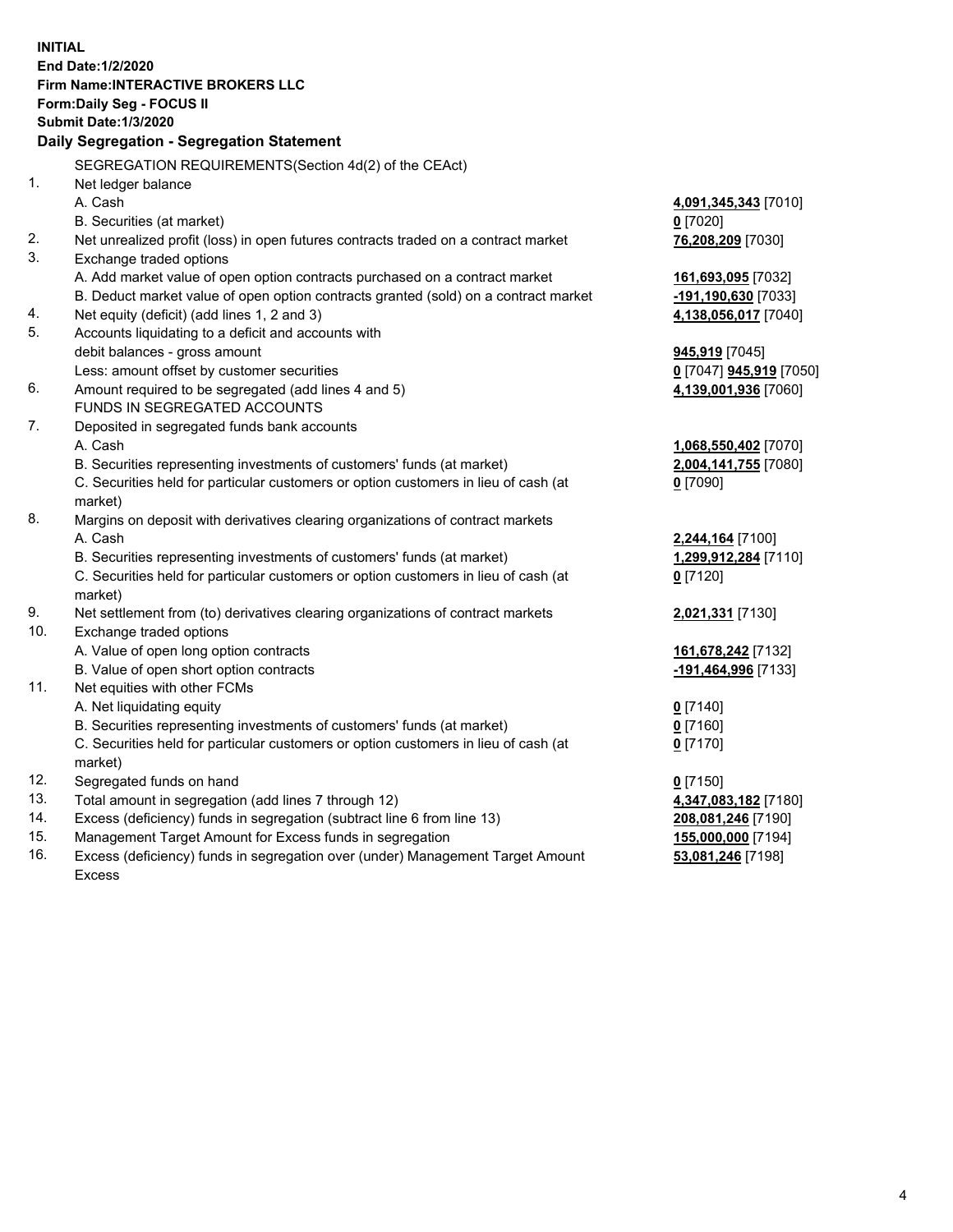**INITIAL End Date:1/2/2020 Firm Name:INTERACTIVE BROKERS LLC Form:Daily Seg - FOCUS II Submit Date:1/3/2020 Daily Segregation - Segregation Statement** SEGREGATION REQUIREMENTS(Section 4d(2) of the CEAct) 1. Net ledger balance A. Cash **4,091,345,343** [7010] B. Securities (at market) **0** [7020] 2. Net unrealized profit (loss) in open futures contracts traded on a contract market **76,208,209** [7030] 3. Exchange traded options A. Add market value of open option contracts purchased on a contract market **161,693,095** [7032] B. Deduct market value of open option contracts granted (sold) on a contract market **-191,190,630** [7033] 4. Net equity (deficit) (add lines 1, 2 and 3) **4,138,056,017** [7040] 5. Accounts liquidating to a deficit and accounts with debit balances - gross amount **945,919** [7045] Less: amount offset by customer securities **0** [7047] **945,919** [7050] 6. Amount required to be segregated (add lines 4 and 5) **4,139,001,936** [7060] FUNDS IN SEGREGATED ACCOUNTS 7. Deposited in segregated funds bank accounts A. Cash **1,068,550,402** [7070] B. Securities representing investments of customers' funds (at market) **2,004,141,755** [7080] C. Securities held for particular customers or option customers in lieu of cash (at market) **0** [7090] 8. Margins on deposit with derivatives clearing organizations of contract markets A. Cash **2,244,164** [7100] B. Securities representing investments of customers' funds (at market) **1,299,912,284** [7110] C. Securities held for particular customers or option customers in lieu of cash (at market) **0** [7120] 9. Net settlement from (to) derivatives clearing organizations of contract markets **2,021,331** [7130] 10. Exchange traded options A. Value of open long option contracts **161,678,242** [7132] B. Value of open short option contracts **-191,464,996** [7133] 11. Net equities with other FCMs A. Net liquidating equity **0** [7140] B. Securities representing investments of customers' funds (at market) **0** [7160] C. Securities held for particular customers or option customers in lieu of cash (at market) **0** [7170] 12. Segregated funds on hand **0** [7150] 13. Total amount in segregation (add lines 7 through 12) **4,347,083,182** [7180] 14. Excess (deficiency) funds in segregation (subtract line 6 from line 13) **208,081,246** [7190] 15. Management Target Amount for Excess funds in segregation **155,000,000** [7194] **53,081,246** [7198]

16. Excess (deficiency) funds in segregation over (under) Management Target Amount Excess